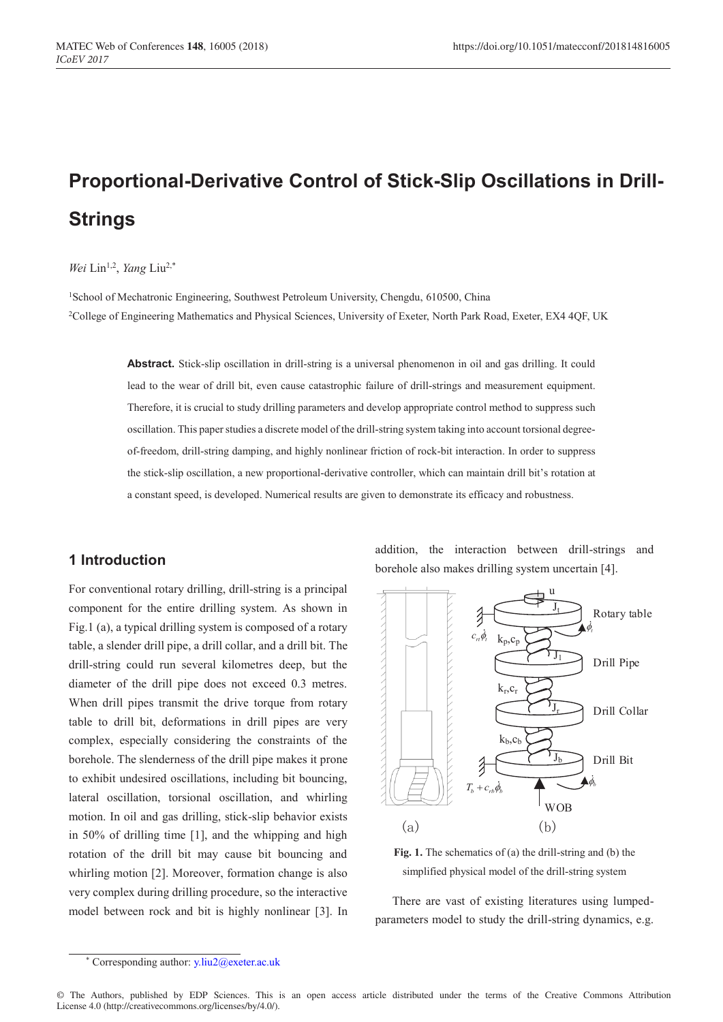# **Proportional-Derivative Control of Stick-Slip Oscillations in Drill-Strings**

#### Wei Lin<sup>1,2</sup>, *Yang* Liu<sup>2,\*</sup>

<sup>1</sup>School of Mechatronic Engineering, Southwest Petroleum University, Chengdu, 610500, China 2College of Engineering Mathematics and Physical Sciences, University of Exeter, North Park Road, Exeter, EX4 4QF, UK

> **Abstract.** Stick-slip oscillation in drill-string is a universal phenomenon in oil and gas drilling. It could lead to the wear of drill bit, even cause catastrophic failure of drill-strings and measurement equipment. Therefore, it is crucial to study drilling parameters and develop appropriate control method to suppress such oscillation. This paper studies a discrete model of the drill-string system taking into account torsional degreeof-freedom, drill-string damping, and highly nonlinear friction of rock-bit interaction. In order to suppress the stick-slip oscillation, a new proportional-derivative controller, which can maintain drill bit's rotation at a constant speed, is developed. Numerical results are given to demonstrate its efficacy and robustness.

## **1 Introduction**

For conventional rotary drilling, drill-string is a principal component for the entire drilling system. As shown in Fig.1 (a), a typical drilling system is composed of a rotary table, a slender drill pipe, a drill collar, and a drill bit. The drill-string could run several kilometres deep, but the diameter of the drill pipe does not exceed 0.3 metres. When drill pipes transmit the drive torque from rotary table to drill bit, deformations in drill pipes are very complex, especially considering the constraints of the borehole. The slenderness of the drill pipe makes it prone to exhibit undesired oscillations, including bit bouncing, lateral oscillation, torsional oscillation, and whirling motion. In oil and gas drilling, stick-slip behavior exists in 50% of drilling time [1], and the whipping and high rotation of the drill bit may cause bit bouncing and whirling motion [2]. Moreover, formation change is also very complex during drilling procedure, so the interactive model between rock and bit is highly nonlinear [3]. In addition, the interaction between drill-strings and borehole also makes drilling system uncertain [4].





There are vast of existing literatures using lumpedparameters model to study the drill-string dynamics, e.g.

Corresponding author: y.liu2@exeter.ac.uk

<sup>©</sup> The Authors, published by EDP Sciences. This is an open access article distributed under the terms of the Creative Commons Attribution License 4.0 (http://creativecommons.org/licenses/by/4.0/).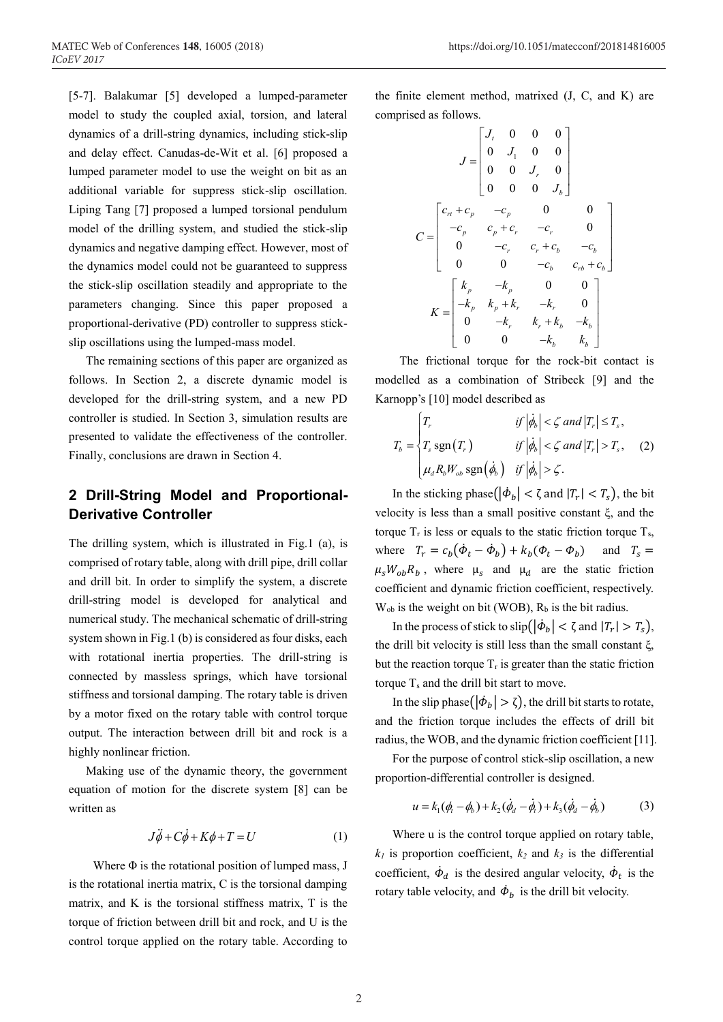[5-7]. Balakumar [5] developed a lumped-parameter model to study the coupled axial, torsion, and lateral dynamics of a drill-string dynamics, including stick-slip and delay effect. Canudas-de-Wit et al. [6] proposed a lumped parameter model to use the weight on bit as an additional variable for suppress stick-slip oscillation. Liping Tang [7] proposed a lumped torsional pendulum model of the drilling system, and studied the stick-slip dynamics and negative damping effect. However, most of the dynamics model could not be guaranteed to suppress the stick-slip oscillation steadily and appropriate to the parameters changing. Since this paper proposed a proportional-derivative (PD) controller to suppress stickslip oscillations using the lumped-mass model.

The remaining sections of this paper are organized as follows. In Section 2, a discrete dynamic model is developed for the drill-string system, and a new PD controller is studied. In Section 3, simulation results are presented to validate the effectiveness of the controller. Finally, conclusions are drawn in Section 4.

## **2 Drill-String Model and Proportional-Derivative Controller**

The drilling system, which is illustrated in Fig.1 (a), is comprised of rotary table, along with drill pipe, drill collar and drill bit. In order to simplify the system, a discrete drill-string model is developed for analytical and numerical study. The mechanical schematic of drill-string system shown in Fig.1 (b) is considered as four disks, each with rotational inertia properties. The drill-string is connected by massless springs, which have torsional stiffness and torsional damping. The rotary table is driven by a motor fixed on the rotary table with control torque output. The interaction between drill bit and rock is a highly nonlinear friction.

Making use of the dynamic theory, the government equation of motion for the discrete system [8] can be written as

$$
J\ddot{\phi} + C\phi + K\phi + T = U \tag{1}
$$

Where  $\Phi$  is the rotational position of lumped mass, J is the rotational inertia matrix, C is the torsional damping matrix, and K is the torsional stiffness matrix, T is the torque of friction between drill bit and rock, and U is the control torque applied on the rotary table. According to

the finite element method, matrixed (J, C, and K) are comprised as follows.

$$
J = \begin{bmatrix} J_t & 0 & 0 & 0 \\ 0 & J_1 & 0 & 0 \\ 0 & 0 & J_r & 0 \\ 0 & 0 & 0 & J_b \end{bmatrix}
$$

$$
C = \begin{bmatrix} c_{rr} + c_p & -c_p & 0 & 0 \\ -c_p & c_p + c_r & -c_r & 0 \\ 0 & -c_r & c_r + c_b & -c_b \\ 0 & 0 & -c_b & c_{rb} + c_b \end{bmatrix}
$$

$$
K = \begin{bmatrix} k_p & -k_p & 0 & 0 \\ -k_p & k_p + k_r & -k_r & 0 \\ 0 & -k_r & k_r + k_b & -k_b \\ 0 & 0 & -k_b & k_b \end{bmatrix}
$$

The frictional torque for the rock-bit contact is modelled as a combination of Stribeck [9] and the Karnopp's [10] model described as

$$
T_b = \begin{cases} T_r & \text{if } |\dot{\phi}_b| < \zeta \text{ and } |T_r| \le T_s, \\ T_s \text{ sgn}(T_r) & \text{if } |\dot{\phi}_b| < \zeta \text{ and } |T_r| > T_s, \\ \mu_d R_b W_{ob} \text{ sgn}(\dot{\phi}_b) & \text{if } |\dot{\phi}_b| > \zeta. \end{cases}
$$
 (2)

In the sticking phase( $|\dot{\phi}_b| < \zeta$  and  $|T_r| < T_s$ ), the bit velocity is less than a small positive constant ξ, and the torque  $T_r$  is less or equals to the static friction torque  $T_s$ , where  $T_r = c_b(\dot{\phi}_t - \dot{\phi}_b) + k_b(\phi_t - \phi_b)$  and  $T_s =$  $\mu_s W_{ob} R_b$ , where  $\mu_s$  and  $\mu_d$  are the static friction coefficient and dynamic friction coefficient, respectively.  $W_{ob}$  is the weight on bit (WOB),  $R_b$  is the bit radius.

In the process of stick to  $\text{slip}(|\phi_b| < \zeta \text{ and } |T_r| > T_s$ ), the drill bit velocity is still less than the small constant ξ, but the reaction torque  $T_r$  is greater than the static friction torque  $T_s$  and the drill bit start to move.

In the slip phase( $|\dot{\phi}_b| > \zeta$ ), the drill bit starts to rotate, and the friction torque includes the effects of drill bit radius, the WOB, and the dynamic friction coefficient [11].

For the purpose of control stick-slip oscillation, a new proportion-differential controller is designed.

$$
u = k_1(\phi_t - \phi_b) + k_2(\dot{\phi}_d - \dot{\phi}_t) + k_3(\dot{\phi}_d - \dot{\phi}_b)
$$
 (3)

Where u is the control torque applied on rotary table,  $k_1$  is proportion coefficient,  $k_2$  and  $k_3$  is the differential coefficient,  $\dot{\phi}_d$  is the desired angular velocity,  $\dot{\phi}_t$  is the rotary table velocity, and  $\dot{\phi}_b$  is the drill bit velocity.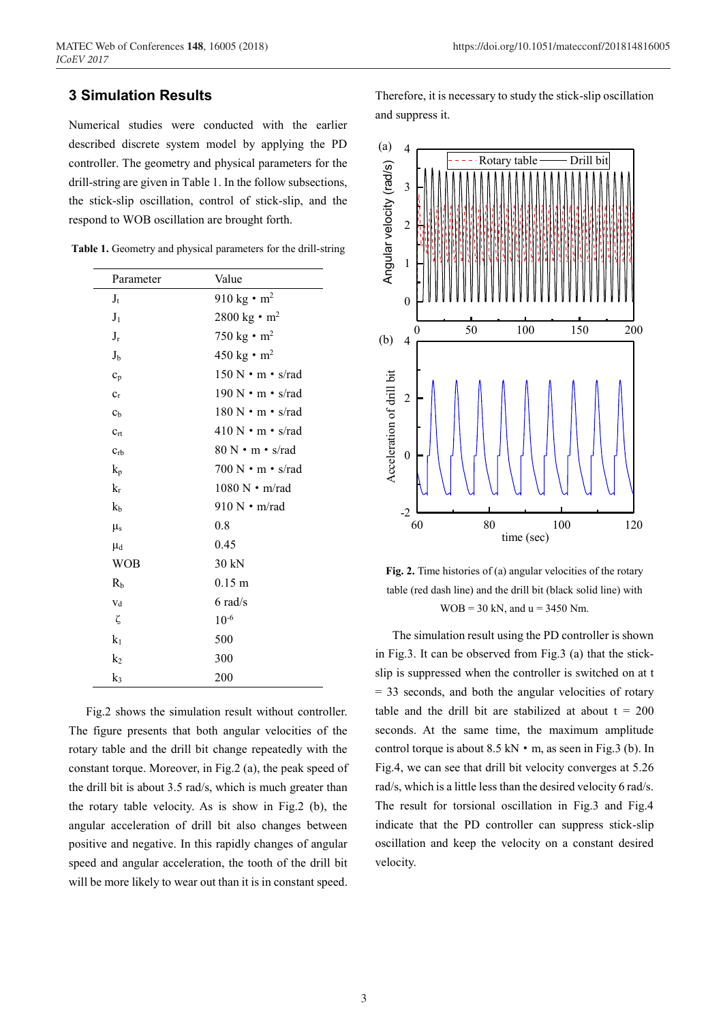## **3 Simulation Results**

Numerical studies were conducted with the earlier described discrete system model by applying the PD controller. The geometry and physical parameters for the drill-string are given in Table 1. In the follow subsections, the stick-slip oscillation, control of stick-slip, and the respond to WOB oscillation are brought forth.

| Parameter      | Value                                             |
|----------------|---------------------------------------------------|
| $J_{t}$        | 910 kg $\cdot$ m <sup>2</sup>                     |
| J <sub>1</sub> | 2800 kg $\cdot$ m <sup>2</sup>                    |
| $J_r$          | 750 kg $\cdot$ m <sup>2</sup>                     |
| $J_{b}$        | 450 kg $\cdot$ m <sup>2</sup>                     |
| $c_p$          | $150 \text{ N} \cdot \text{m} \cdot \text{s/rad}$ |
| $c_r$          | 190 N · m · s/rad                                 |
| c <sub>b</sub> | $180 \text{ N} \cdot \text{m} \cdot \text{s/rad}$ |
| $c_{rt}$       | $410 N \cdot m \cdot s/r$ ad                      |
| $C_{rb}$       | $80 N \cdot m \cdot s/r$ ad                       |
| $k_{p}$        | $700 N \cdot m \cdot s/r$ ad                      |
| $k_r$          | $1080 \text{ N} \cdot \text{m/rad}$               |
| k <sub>b</sub> | $910 N \cdot m/r$ ad                              |
| $\mu$ s        | 0.8                                               |
| $\mu_d$        | 0.45                                              |
| WOB            | 30 kN                                             |
| R <sub>b</sub> | $0.15 \text{ m}$                                  |
| $V_d$          | $6$ rad/s                                         |
| ζ              | $10^{-6}$                                         |
| k <sub>1</sub> | 500                                               |
| k <sub>2</sub> | 300                                               |
| k3             | 200                                               |

**Table 1.** Geometry and physical parameters for the drill-string

Fig.2 shows the simulation result without controller. The figure presents that both angular velocities of the rotary table and the drill bit change repeatedly with the constant torque. Moreover, in Fig.2 (a), the peak speed of the drill bit is about 3.5 rad/s, which is much greater than the rotary table velocity. As is show in Fig.2 (b), the angular acceleration of drill bit also changes between positive and negative. In this rapidly changes of angular speed and angular acceleration, the tooth of the drill bit will be more likely to wear out than it is in constant speed.

Therefore, it is necessary to study the stick-slip oscillation and suppress it.



**Fig. 2.** Time histories of (a) angular velocities of the rotary table (red dash line) and the drill bit (black solid line) with  $WOB = 30$  kN, and  $u = 3450$  Nm.

The simulation result using the PD controller is shown in Fig.3. It can be observed from Fig.3 (a) that the stickslip is suppressed when the controller is switched on at t = 33 seconds, and both the angular velocities of rotary table and the drill bit are stabilized at about  $t = 200$ seconds. At the same time, the maximum amplitude control torque is about 8.5 kN • m, as seen in Fig.3 (b). In Fig.4, we can see that drill bit velocity converges at 5.26 rad/s, which is a little less than the desired velocity 6 rad/s. The result for torsional oscillation in Fig.3 and Fig.4 indicate that the PD controller can suppress stick-slip oscillation and keep the velocity on a constant desired velocity.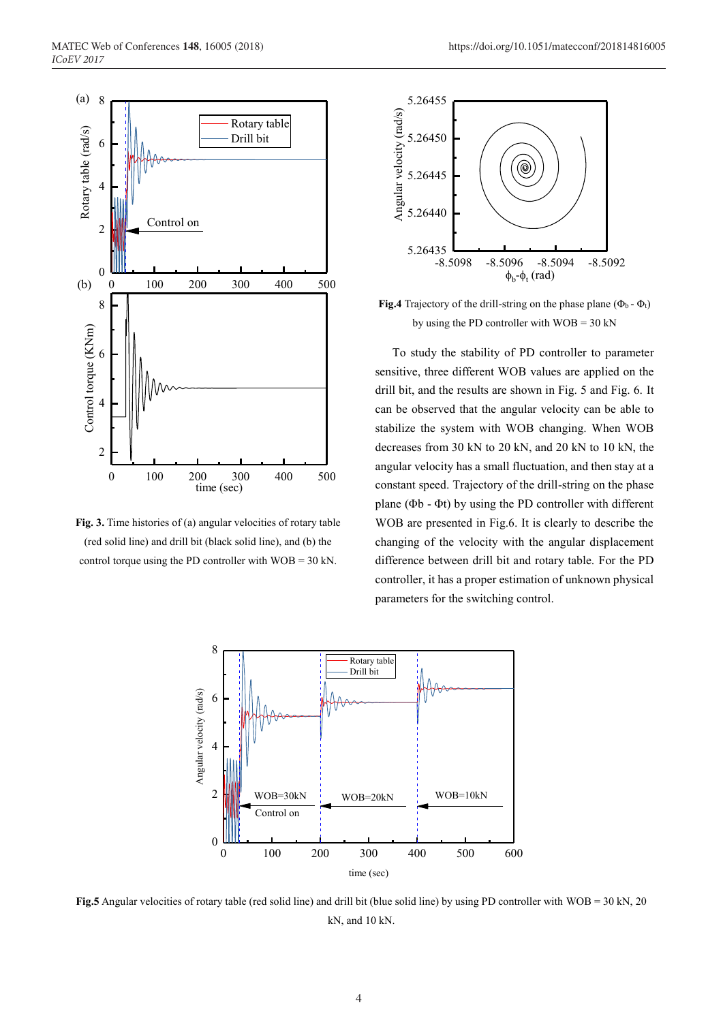

**Fig. 3.** Time histories of (a) angular velocities of rotary table (red solid line) and drill bit (black solid line), and (b) the control torque using the PD controller with  $WOB = 30$  kN.



**Fig.4** Trajectory of the drill-string on the phase plane ( $\Phi_b$  -  $\Phi_t$ ) by using the PD controller with  $WOB = 30$  kN

To study the stability of PD controller to parameter sensitive, three different WOB values are applied on the drill bit, and the results are shown in Fig. 5 and Fig. 6. It can be observed that the angular velocity can be able to stabilize the system with WOB changing. When WOB decreases from 30 kN to 20 kN, and 20 kN to 10 kN, the angular velocity has a small fluctuation, and then stay at a constant speed. Trajectory of the drill-string on the phase plane (Φb - Φt) by using the PD controller with different WOB are presented in Fig.6. It is clearly to describe the changing of the velocity with the angular displacement difference between drill bit and rotary table. For the PD controller, it has a proper estimation of unknown physical parameters for the switching control.



**Fig.5** Angular velocities of rotary table (red solid line) and drill bit (blue solid line) by using PD controller with WOB = 30 kN, 20 kN, and 10 kN.